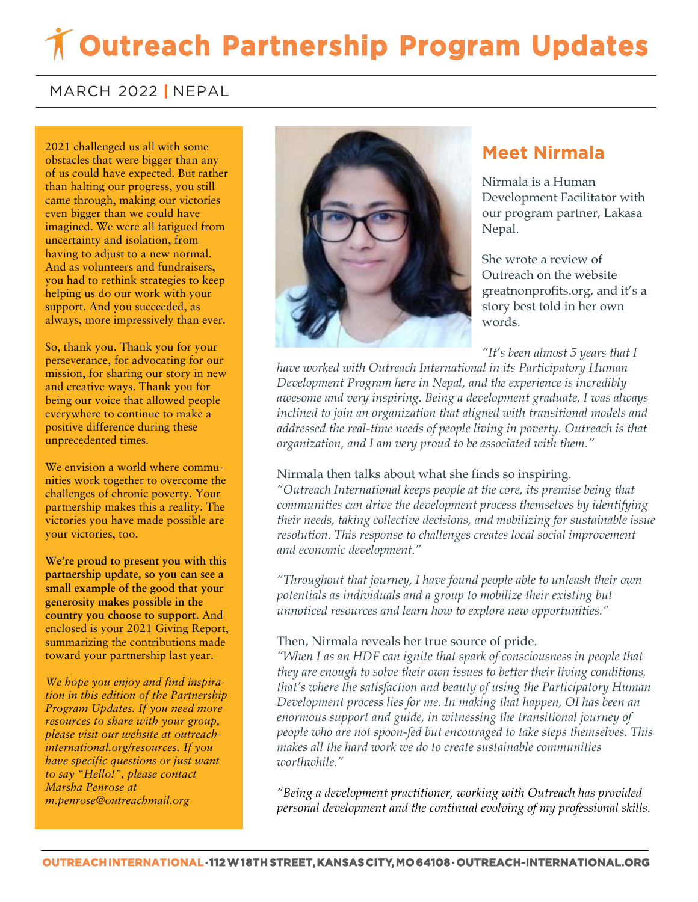# **Outreach Partnership Program Updates**

### MARCH 2022 **|** NEPAL

2021 challenged us all with some obstacles that were bigger than any of us could have expected. But rather than halting our progress, you still came through, making our victories even bigger than we could have imagined. We were all fatigued from uncertainty and isolation, from having to adjust to a new normal. And as volunteers and fundraisers, you had to rethink strategies to keep helping us do our work with your support. And you succeeded, as always, more impressively than ever.

So, thank you. Thank you for your perseverance, for advocating for our mission, for sharing our story in new and creative ways. Thank you for being our voice that allowed people everywhere to continue to make a positive difference during these unprecedented times.

We envision a world where communities work together to overcome the challenges of chronic poverty. Your partnership makes this a reality. The victories you have made possible are your victories, too.

**We're proud to present you with this partnership update, so you can see a small example of the good that your generosity makes possible in the country you choose to support.** And enclosed is your 2021 Giving Report, summarizing the contributions made toward your partnership last year.

*We hope you enjoy and find inspiration in this edition of the Partnership Program Updates. If you need more resources to share with your group, please visit our website at outreachinternational.org/resources. If you have specific questions or just want to say "Hello!", please contact Marsha Penrose at m.penrose@outreachmail.org*



## **Meet Nirmala**

Nirmala is a Human Development Facilitator with our program partner, Lakasa Nepal.

She wrote a review of Outreach on the website greatnonprofits.org, and it's a story best told in her own words.

*"It's been almost 5 years that I* 

*have worked with Outreach International in its Participatory Human Development Program here in Nepal, and the experience is incredibly awesome and very inspiring. Being a development graduate, I was always inclined to join an organization that aligned with transitional models and addressed the real-time needs of people living in poverty. Outreach is that organization, and I am very proud to be associated with them."*

#### Nirmala then talks about what she finds so inspiring.

*"Outreach International keeps people at the core, its premise being that communities can drive the development process themselves by identifying their needs, taking collective decisions, and mobilizing for sustainable issue resolution. This response to challenges creates local social improvement and economic development."*

*"Throughout that journey, I have found people able to unleash their own potentials as individuals and a group to mobilize their existing but unnoticed resources and learn how to explore new opportunities."*

#### Then, Nirmala reveals her true source of pride.

*"When I as an HDF can ignite that spark of consciousness in people that they are enough to solve their own issues to better their living conditions, that's where the satisfaction and beauty of using the Participatory Human Development process lies for me. In making that happen, OI has been an enormous support and guide, in witnessing the transitional journey of people who are not spoon-fed but encouraged to take steps themselves. This makes all the hard work we do to create sustainable communities worthwhile."*

*"Being a development practitioner, working with Outreach has provided personal development and the continual evolving of my professional skills.*